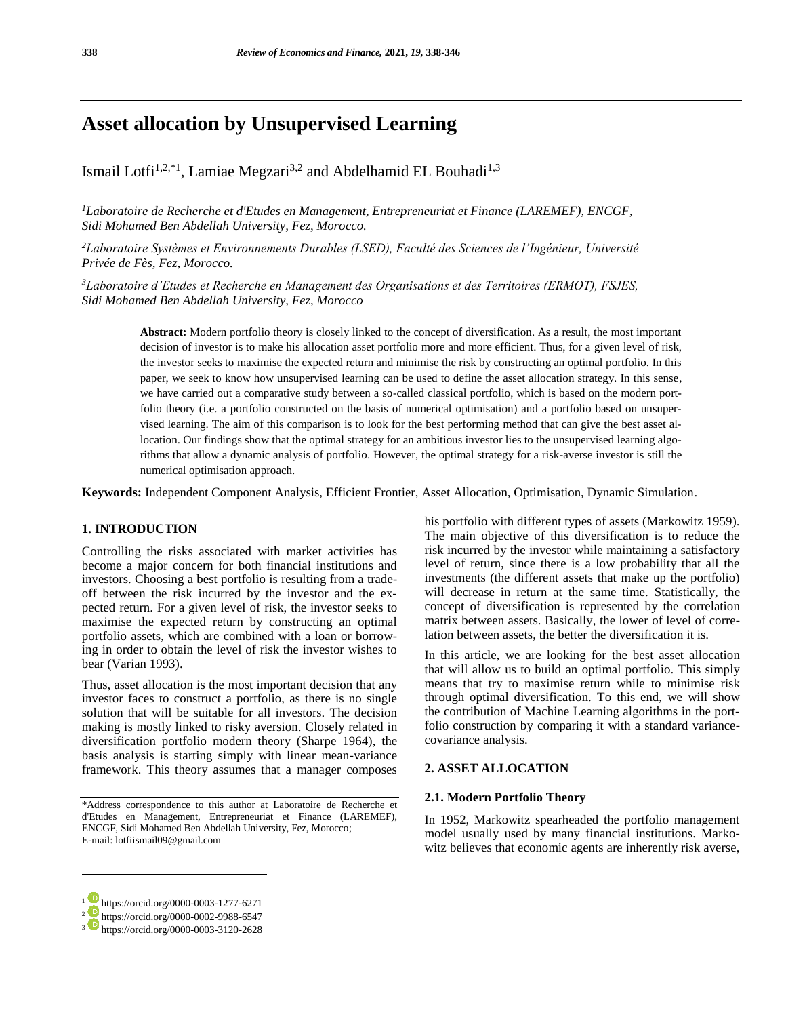# **Asset allocation by Unsupervised Learning**

Ismail Lotfi<sup>1,2,\*1</sup>, Lamiae Megzari<sup>3,2</sup> and Abdelhamid EL Bouhadi<sup>1,3</sup>

*<sup>1</sup>Laboratoire de Recherche et d'Etudes en Management, Entrepreneuriat et Finance (LAREMEF), ENCGF, Sidi Mohamed Ben Abdellah University, Fez, Morocco.*

*<sup>2</sup>Laboratoire Systèmes et Environnements Durables (LSED), Faculté des Sciences de l'Ingénieur, Université Privée de Fès, Fez, Morocco.*

*<sup>3</sup>Laboratoire d'Etudes et Recherche en Management des Organisations et des Territoires (ERMOT), FSJES, Sidi Mohamed Ben Abdellah University, Fez, Morocco*

> **Abstract:** Modern portfolio theory is closely linked to the concept of diversification. As a result, the most important decision of investor is to make his allocation asset portfolio more and more efficient. Thus, for a given level of risk, the investor seeks to maximise the expected return and minimise the risk by constructing an optimal portfolio. In this paper, we seek to know how unsupervised learning can be used to define the asset allocation strategy. In this sense, we have carried out a comparative study between a so-called classical portfolio, which is based on the modern portfolio theory (i.e. a portfolio constructed on the basis of numerical optimisation) and a portfolio based on unsupervised learning. The aim of this comparison is to look for the best performing method that can give the best asset allocation. Our findings show that the optimal strategy for an ambitious investor lies to the unsupervised learning algorithms that allow a dynamic analysis of portfolio. However, the optimal strategy for a risk-averse investor is still the numerical optimisation approach.

**Keywords:** Independent Component Analysis, Efficient Frontier, Asset Allocation, Optimisation, Dynamic Simulation.

#### **1. INTRODUCTION**

Controlling the risks associated with market activities has become a major concern for both financial institutions and investors. Choosing a best portfolio is resulting from a tradeoff between the risk incurred by the investor and the expected return. For a given level of risk, the investor seeks to maximise the expected return by constructing an optimal portfolio assets, which are combined with a loan or borrowing in order to obtain the level of risk the investor wishes to bear (Varian 1993).

Thus, asset allocation is the most important decision that any investor faces to construct a portfolio, as there is no single solution that will be suitable for all investors. The decision making is mostly linked to risky aversion. Closely related in diversification portfolio modern theory (Sharpe 1964), the basis analysis is starting simply with linear mean-variance framework. This theory assumes that a manager composes his portfolio with different types of assets (Markowitz 1959). The main objective of this diversification is to reduce the risk incurred by the investor while maintaining a satisfactory level of return, since there is a low probability that all the investments (the different assets that make up the portfolio) will decrease in return at the same time. Statistically, the concept of diversification is represented by the correlation matrix between assets. Basically, the lower of level of correlation between assets, the better the diversification it is.

In this article, we are looking for the best asset allocation that will allow us to build an optimal portfolio. This simply means that try to maximise return while to minimise risk through optimal diversification. To this end, we will show the contribution of Machine Learning algorithms in the portfolio construction by comparing it with a standard variancecovariance analysis.

#### **2. ASSET ALLOCATION**

#### **2.1. Modern Portfolio Theory**

In 1952, Markowitz spearheaded the portfolio management model usually used by many financial institutions. Markowitz believes that economic agents are inherently risk averse,

l

<sup>\*</sup>Address correspondence to this author at Laboratoire de Recherche et d'Etudes en Management, Entrepreneuriat et Finance (LAREMEF), ENCGF, Sidi Mohamed Ben Abdellah University, Fez, Morocco; E-mail: lotfiismail09@gmail.com

<sup>&</sup>lt;sup>1</sup> https://orcid.org/0000-0003-1277-6271

<sup>&</sup>lt;sup>2</sup> https://orcid.org/0000-0002-9988-6547

<sup>3</sup> https://orcid.org/0000-0003-3120-2628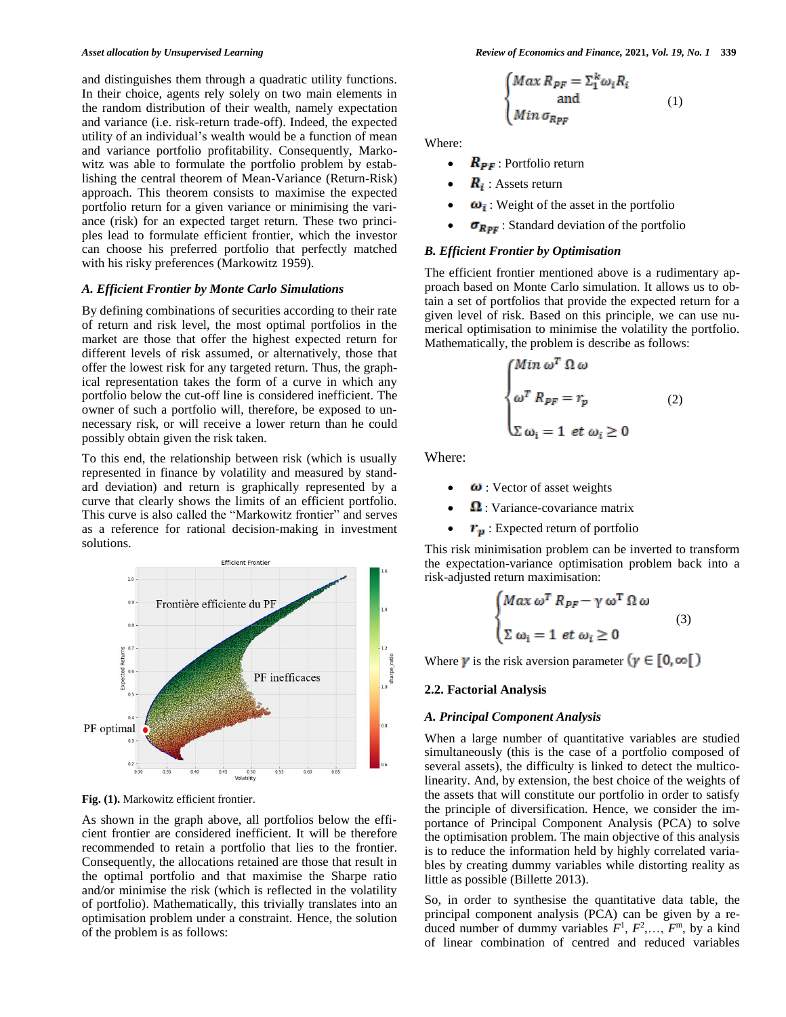and distinguishes them through a quadratic utility functions. In their choice, agents rely solely on two main elements in the random distribution of their wealth, namely expectation and variance (i.e. risk-return trade-off). Indeed, the expected utility of an individual's wealth would be a function of mean and variance portfolio profitability. Consequently, Markowitz was able to formulate the portfolio problem by establishing the central theorem of Mean-Variance (Return-Risk) approach. This theorem consists to maximise the expected portfolio return for a given variance or minimising the variance (risk) for an expected target return. These two principles lead to formulate efficient frontier, which the investor can choose his preferred portfolio that perfectly matched with his risky preferences (Markowitz 1959).

#### *A. Efficient Frontier by Monte Carlo Simulations*

By defining combinations of securities according to their rate of return and risk level, the most optimal portfolios in the market are those that offer the highest expected return for different levels of risk assumed, or alternatively, those that offer the lowest risk for any targeted return. Thus, the graphical representation takes the form of a curve in which any portfolio below the cut-off line is considered inefficient. The owner of such a portfolio will, therefore, be exposed to unnecessary risk, or will receive a lower return than he could possibly obtain given the risk taken.

To this end, the relationship between risk (which is usually represented in finance by volatility and measured by standard deviation) and return is graphically represented by a curve that clearly shows the limits of an efficient portfolio. This curve is also called the "Markowitz frontier" and serves as a reference for rational decision-making in investment solutions.



Fig. (1). Markowitz efficient frontier.

As shown in the graph above, all portfolios below the efficient frontier are considered inefficient. It will be therefore recommended to retain a portfolio that lies to the frontier. Consequently, the allocations retained are those that result in the optimal portfolio and that maximise the Sharpe ratio and/or minimise the risk (which is reflected in the volatility of portfolio). Mathematically, this trivially translates into an optimisation problem under a constraint. Hence, the solution of the problem is as follows:

$$
\begin{cases}\nMax R_{PF} = \sum_{i=1}^{k} \omega_{i} R_{i} \\
and \\
Min \sigma_{R_{PF}}\n\end{cases} (1)
$$

Where:

- $R_{\text{PF}}$ : Portfolio return
- $\mathbf{R}_i$ : Assets return
- $\omega_i$ : Weight of the asset in the portfolio
- $\sigma_{Rpr}$ : Standard deviation of the portfolio

#### *B. Efficient Frontier by Optimisation*

The efficient frontier mentioned above is a rudimentary approach based on Monte Carlo simulation. It allows us to obtain a set of portfolios that provide the expected return for a given level of risk. Based on this principle, we can use numerical optimisation to minimise the volatility the portfolio. Mathematically, the problem is describe as follows:

$$
\begin{cases}\nMin \omega^T \Omega \omega \\
\omega^T R_{PF} = r_p \\
\Sigma \omega_i = 1 \text{ et } \omega_i \ge 0\n\end{cases}
$$
\n(2)

Where:

- $\omega$ : Vector of asset weights
- $\Omega$ : Variance-covariance matrix
- $r_p$ : Expected return of portfolio

This risk minimisation problem can be inverted to transform the expectation-variance optimisation problem back into a risk-adjusted return maximisation:

$$
\begin{cases}\nMax \omega^T R_{PF} - \gamma \omega^T \Omega \omega \\
\sum \omega_i = 1 \text{ et } \omega_i \ge 0\n\end{cases}
$$
\n(3)

Where  $\gamma$  is the risk aversion parameter  $(\gamma \in [0, \infty])$ 

#### **2.2. Factorial Analysis**

#### *A. Principal Component Analysis*

When a large number of quantitative variables are studied simultaneously (this is the case of a portfolio composed of several assets), the difficulty is linked to detect the multicolinearity. And, by extension, the best choice of the weights of the assets that will constitute our portfolio in order to satisfy the principle of diversification. Hence, we consider the importance of Principal Component Analysis (PCA) to solve the optimisation problem. The main objective of this analysis is to reduce the information held by highly correlated variables by creating dummy variables while distorting reality as little as possible (Billette 2013).

So, in order to synthesise the quantitative data table, the principal component analysis (PCA) can be given by a reduced number of dummy variables  $F^1$ ,  $F^2$ ,...,  $F^m$ , by a kind of linear combination of centred and reduced variables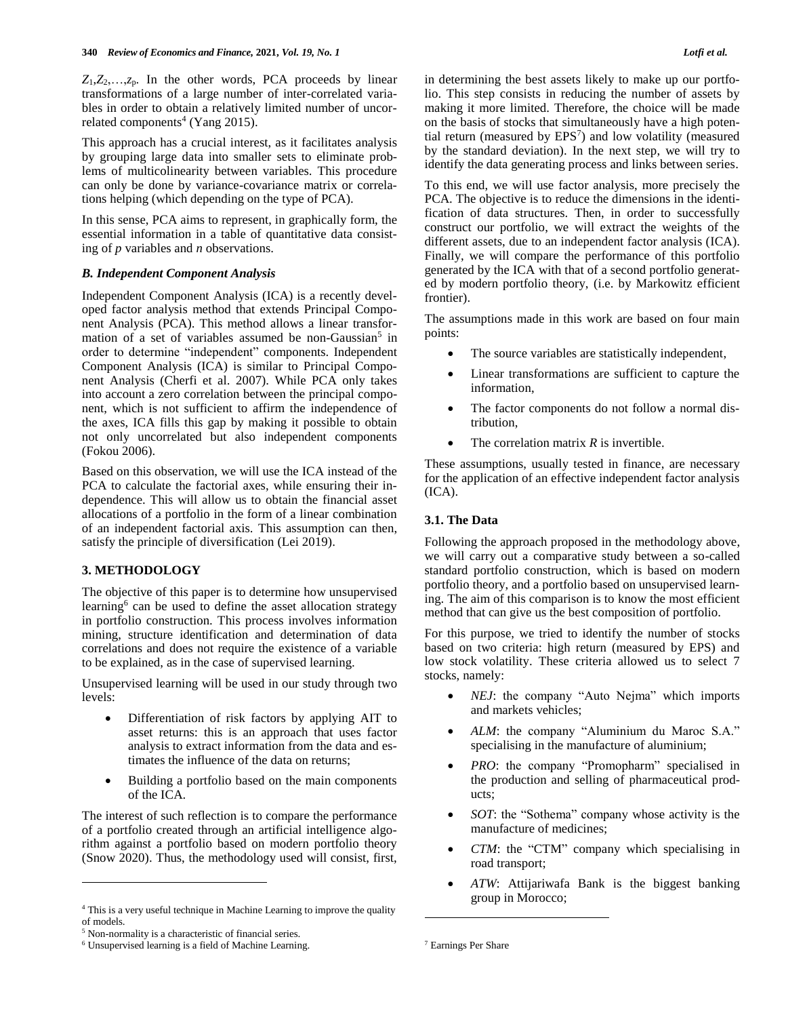$Z_1, Z_2, \ldots, Z_p$ . In the other words, PCA proceeds by linear transformations of a large number of inter-correlated variables in order to obtain a relatively limited number of uncorrelated components<sup>4</sup> (Yang 2015).

This approach has a crucial interest, as it facilitates analysis by grouping large data into smaller sets to eliminate problems of multicolinearity between variables. This procedure can only be done by variance-covariance matrix or correlations helping (which depending on the type of PCA).

In this sense, PCA aims to represent, in graphically form, the essential information in a table of quantitative data consisting of *p* variables and *n* observations.

## *B. Independent Component Analysis*

Independent Component Analysis (ICA) is a recently developed factor analysis method that extends Principal Component Analysis (PCA). This method allows a linear transformation of a set of variables assumed be non-Gaussian<sup>5</sup> in order to determine "independent" components. Independent Component Analysis (ICA) is similar to Principal Component Analysis (Cherfi et al. 2007). While PCA only takes into account a zero correlation between the principal component, which is not sufficient to affirm the independence of the axes, ICA fills this gap by making it possible to obtain not only uncorrelated but also independent components (Fokou 2006).

Based on this observation, we will use the ICA instead of the PCA to calculate the factorial axes, while ensuring their independence. This will allow us to obtain the financial asset allocations of a portfolio in the form of a linear combination of an independent factorial axis. This assumption can then, satisfy the principle of diversification (Lei 2019).

## **3. METHODOLOGY**

The objective of this paper is to determine how unsupervised learning<sup>6</sup> can be used to define the asset allocation strategy in portfolio construction. This process involves information mining, structure identification and determination of data correlations and does not require the existence of a variable to be explained, as in the case of supervised learning.

Unsupervised learning will be used in our study through two levels:

- Differentiation of risk factors by applying AIT to asset returns: this is an approach that uses factor analysis to extract information from the data and estimates the influence of the data on returns;
- Building a portfolio based on the main components of the ICA.

The interest of such reflection is to compare the performance of a portfolio created through an artificial intelligence algorithm against a portfolio based on modern portfolio theory (Snow 2020). Thus, the methodology used will consist, first,

 $\overline{a}$ 

in determining the best assets likely to make up our portfolio. This step consists in reducing the number of assets by making it more limited. Therefore, the choice will be made on the basis of stocks that simultaneously have a high potential return (measured by EPS<sup>7</sup>) and low volatility (measured by the standard deviation). In the next step, we will try to identify the data generating process and links between series.

To this end, we will use factor analysis, more precisely the PCA. The objective is to reduce the dimensions in the identification of data structures. Then, in order to successfully construct our portfolio, we will extract the weights of the different assets, due to an independent factor analysis (ICA). Finally, we will compare the performance of this portfolio generated by the ICA with that of a second portfolio generated by modern portfolio theory, (i.e. by Markowitz efficient frontier).

The assumptions made in this work are based on four main points:

- The source variables are statistically independent,
- Linear transformations are sufficient to capture the information,
- The factor components do not follow a normal distribution,
- The correlation matrix *R* is invertible.

These assumptions, usually tested in finance, are necessary for the application of an effective independent factor analysis (ICA).

## **3.1. The Data**

Following the approach proposed in the methodology above, we will carry out a comparative study between a so-called standard portfolio construction, which is based on modern portfolio theory, and a portfolio based on unsupervised learning. The aim of this comparison is to know the most efficient method that can give us the best composition of portfolio.

For this purpose, we tried to identify the number of stocks based on two criteria: high return (measured by EPS) and low stock volatility. These criteria allowed us to select 7 stocks, namely:

- *NEJ*: the company "Auto Nejma" which imports and markets vehicles;
- *ALM*: the company "Aluminium du Maroc S.A." specialising in the manufacture of aluminium;
- *PRO*: the company "Promopharm" specialised in the production and selling of pharmaceutical products;
- *SOT*: the "Sothema" company whose activity is the manufacture of medicines;
- *CTM*: the "CTM" company which specialising in road transport;
- *ATW*: Attijariwafa Bank is the biggest banking group in Morocco;

<u>.</u>

<sup>4</sup> This is a very useful technique in Machine Learning to improve the quality of models.

<sup>5</sup> Non-normality is a characteristic of financial series.

<sup>6</sup> Unsupervised learning is a field of Machine Learning.

<sup>7</sup> Earnings Per Share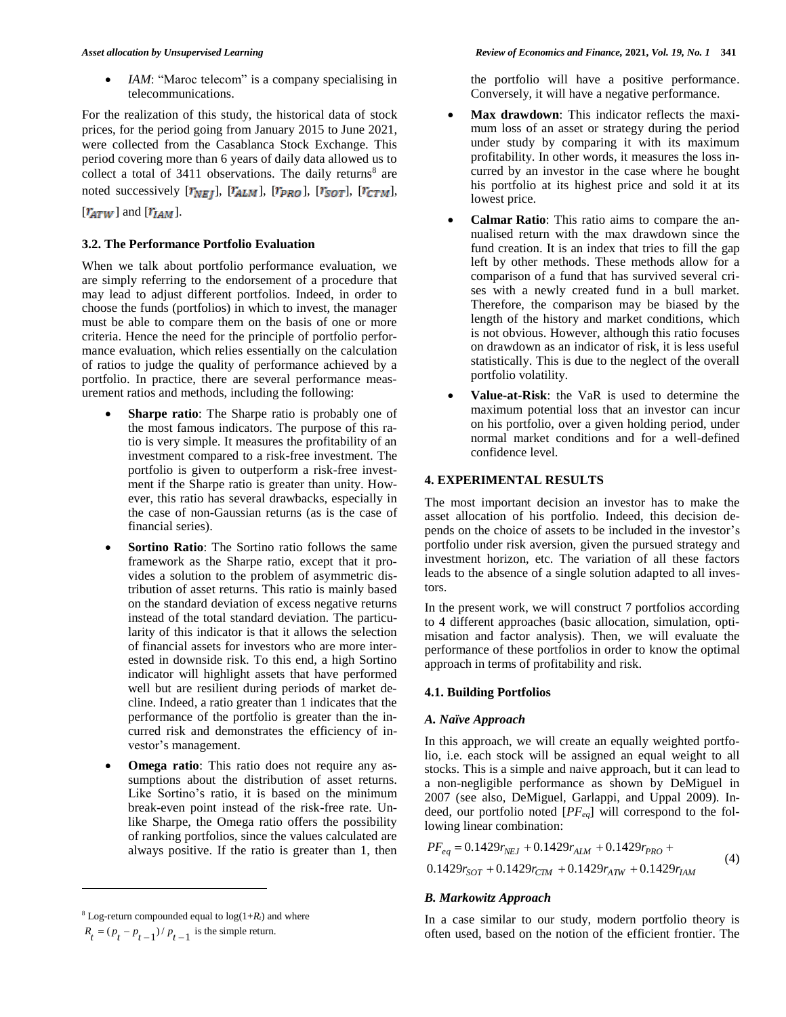*IAM*: "Maroc telecom" is a company specialising in telecommunications.

For the realization of this study, the historical data of stock prices, for the period going from January 2015 to June 2021, were collected from the Casablanca Stock Exchange. This period covering more than 6 years of daily data allowed us to collect a total of  $3411$  observations. The daily returns<sup>8</sup> are noted successively  $[r_{NEJ}]$ ,  $[r_{ALM}]$ ,  $[r_{PRO}]$ ,  $[r_{SOT}]$ ,  $[r_{CTM}]$ ,

## $[r_{ATW}]$  and  $[r_{IAM}]$ .

## **3.2. The Performance Portfolio Evaluation**

When we talk about portfolio performance evaluation, we are simply referring to the endorsement of a procedure that may lead to adjust different portfolios. Indeed, in order to choose the funds (portfolios) in which to invest, the manager must be able to compare them on the basis of one or more criteria. Hence the need for the principle of portfolio performance evaluation, which relies essentially on the calculation of ratios to judge the quality of performance achieved by a portfolio. In practice, there are several performance measurement ratios and methods, including the following:

- **Sharpe ratio**: The Sharpe ratio is probably one of the most famous indicators. The purpose of this ratio is very simple. It measures the profitability of an investment compared to a risk-free investment. The portfolio is given to outperform a risk-free investment if the Sharpe ratio is greater than unity. However, this ratio has several drawbacks, especially in the case of non-Gaussian returns (as is the case of financial series).
- **Sortino Ratio**: The Sortino ratio follows the same framework as the Sharpe ratio, except that it provides a solution to the problem of asymmetric distribution of asset returns. This ratio is mainly based on the standard deviation of excess negative returns instead of the total standard deviation. The particularity of this indicator is that it allows the selection of financial assets for investors who are more interested in downside risk. To this end, a high Sortino indicator will highlight assets that have performed well but are resilient during periods of market decline. Indeed, a ratio greater than 1 indicates that the performance of the portfolio is greater than the incurred risk and demonstrates the efficiency of investor's management.
- **Omega ratio**: This ratio does not require any assumptions about the distribution of asset returns. Like Sortino's ratio, it is based on the minimum break-even point instead of the risk-free rate. Unlike Sharpe, the Omega ratio offers the possibility of ranking portfolios, since the values calculated are always positive. If the ratio is greater than 1, then

 $\overline{a}$ 

the portfolio will have a positive performance. Conversely, it will have a negative performance.

- **Max drawdown**: This indicator reflects the maximum loss of an asset or strategy during the period under study by comparing it with its maximum profitability. In other words, it measures the loss incurred by an investor in the case where he bought his portfolio at its highest price and sold it at its lowest price.
- **Calmar Ratio**: This ratio aims to compare the annualised return with the max drawdown since the fund creation. It is an index that tries to fill the gap left by other methods. These methods allow for a comparison of a fund that has survived several crises with a newly created fund in a bull market. Therefore, the comparison may be biased by the length of the history and market conditions, which is not obvious. However, although this ratio focuses on drawdown as an indicator of risk, it is less useful statistically. This is due to the neglect of the overall portfolio volatility.
- **Value-at-Risk**: the VaR is used to determine the maximum potential loss that an investor can incur on his portfolio, over a given holding period, under normal market conditions and for a well-defined confidence level.

## **4. EXPERIMENTAL RESULTS**

The most important decision an investor has to make the asset allocation of his portfolio. Indeed, this decision depends on the choice of assets to be included in the investor's portfolio under risk aversion, given the pursued strategy and investment horizon, etc. The variation of all these factors leads to the absence of a single solution adapted to all investors.

In the present work, we will construct 7 portfolios according to 4 different approaches (basic allocation, simulation, optimisation and factor analysis). Then, we will evaluate the performance of these portfolios in order to know the optimal approach in terms of profitability and risk.

## **4.1. Building Portfolios**

## *A. Naïve Approach*

In this approach, we will create an equally weighted portfolio, i.e. each stock will be assigned an equal weight to all stocks. This is a simple and naive approach, but it can lead to a non-negligible performance as shown by DeMiguel in 2007 (see also, DeMiguel, Garlappi, and Uppal 2009). Indeed, our portfolio noted [*PFeq*] will correspond to the following linear combination:

$$
PF_{eq} = 0.1429r_{NEJ} + 0.1429r_{ALM} + 0.1429r_{PRO} +
$$
  
0.1429r<sub>SOT</sub> + 0.1429r<sub>CTM</sub> + 0.1429r<sub>ATW</sub> + 0.1429r<sub>IAM</sub> (4)

## *B. Markowitz Approach*

In a case similar to our study, modern portfolio theory is often used, based on the notion of the efficient frontier. The

 $8$  Log-return compounded equal to  $log(1+R_t)$  and where  $R_t = (p_t - p_{t-1})/p_{t-1}$  is the simple return.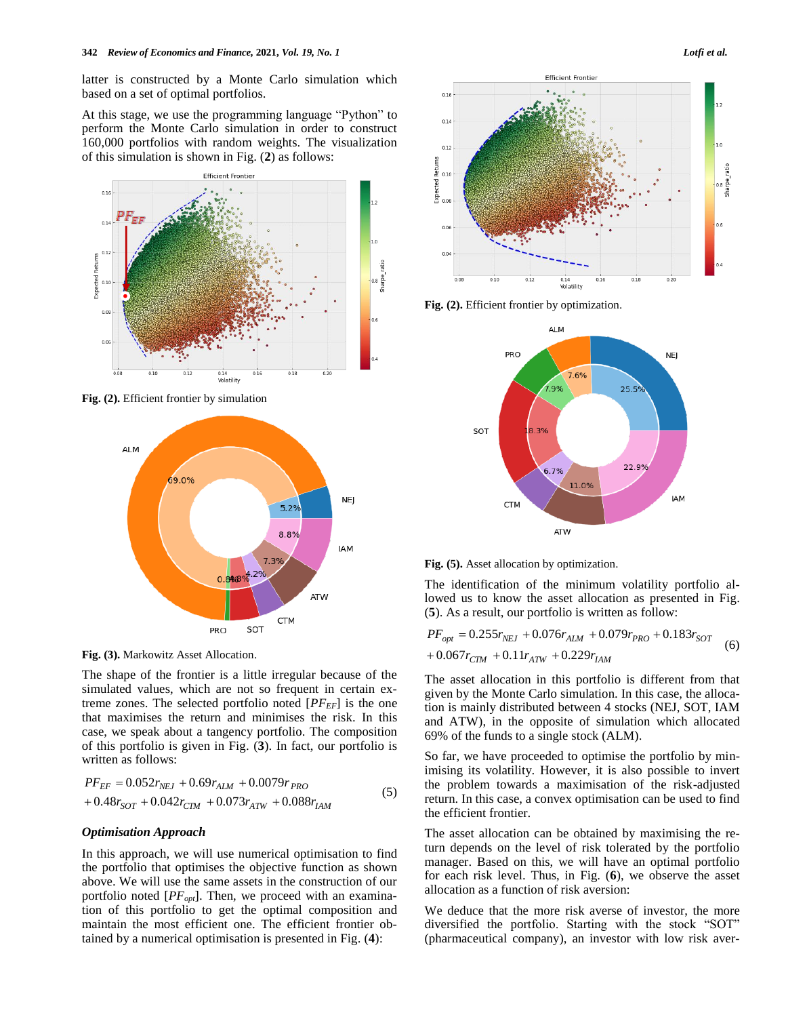latter is constructed by a Monte Carlo simulation which based on a set of optimal portfolios.

At this stage, we use the programming language "Python" to perform the Monte Carlo simulation in order to construct 160,000 portfolios with random weights. The visualization of this simulation is shown in Fig. (**2**) as follows:



**Fig. (2).** Efficient frontier by simulation



**Fig. (3).** Markowitz Asset Allocation.

The shape of the frontier is a little irregular because of the simulated values, which are not so frequent in certain extreme zones. The selected portfolio noted [*PFEF*] is the one that maximises the return and minimises the risk. In this case, we speak about a tangency portfolio. The composition of this portfolio is given in Fig. (**3**). In fact, our portfolio is written as follows:

$$
PF_{EF} = 0.052r_{NEJ} + 0.69r_{ALM} + 0.0079r_{PRO} + 0.48r_{SOT} + 0.042r_{CIM} + 0.073r_{ATW} + 0.088r_{IAM}
$$
\n
$$
(5)
$$

#### *Optimisation Approach*

In this approach, we will use numerical optimisation to find the portfolio that optimises the objective function as shown above. We will use the same assets in the construction of our portfolio noted [*PFopt*]. Then, we proceed with an examination of this portfolio to get the optimal composition and maintain the most efficient one. The efficient frontier obtained by a numerical optimisation is presented in Fig. (**4**):



**Fig. (2).** Efficient frontier by optimization.





The identification of the minimum volatility portfolio allowed us to know the asset allocation as presented in Fig. (**5**). As a result, our portfolio is written as follow:

$$
PF_{opt} = 0.255r_{NEJ} + 0.076r_{ALM} + 0.079r_{PRO} + 0.183r_{SOT}
$$
  
+ 0.067r<sub>CIM</sub> + 0.11r<sub>ATW</sub> + 0.229r<sub>IAM</sub> (6)

The asset allocation in this portfolio is different from that given by the Monte Carlo simulation. In this case, the allocation is mainly distributed between 4 stocks (NEJ, SOT, IAM and ATW), in the opposite of simulation which allocated 69% of the funds to a single stock (ALM).

So far, we have proceeded to optimise the portfolio by minimising its volatility. However, it is also possible to invert the problem towards a maximisation of the risk-adjusted return. In this case, a convex optimisation can be used to find the efficient frontier.

The asset allocation can be obtained by maximising the return depends on the level of risk tolerated by the portfolio manager. Based on this, we will have an optimal portfolio for each risk level. Thus, in Fig. (**6**), we observe the asset allocation as a function of risk aversion:

We deduce that the more risk averse of investor, the more diversified the portfolio. Starting with the stock "SOT" (pharmaceutical company), an investor with low risk aver-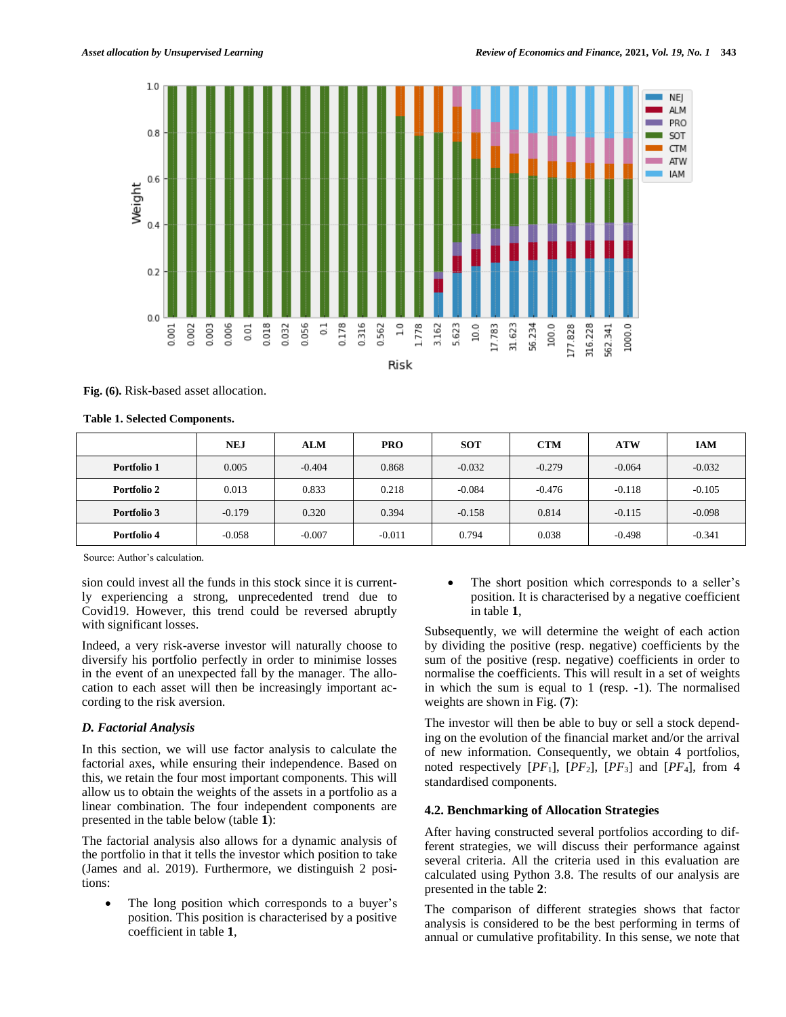

Risk

**Fig. (6).** Risk-based asset allocation.

| <b>Table 1. Selected Components.</b> |  |
|--------------------------------------|--|
|--------------------------------------|--|

|             | NEJ      | <b>ALM</b> | <b>PRO</b> | <b>SOT</b> | <b>CTM</b> | <b>ATW</b> | <b>IAM</b> |
|-------------|----------|------------|------------|------------|------------|------------|------------|
| Portfolio 1 | 0.005    | $-0.404$   | 0.868      | $-0.032$   | $-0.279$   | $-0.064$   | $-0.032$   |
| Portfolio 2 | 0.013    | 0.833      | 0.218      | $-0.084$   | $-0.476$   | $-0.118$   | $-0.105$   |
| Portfolio 3 | $-0.179$ | 0.320      | 0.394      | $-0.158$   | 0.814      | $-0.115$   | $-0.098$   |
| Portfolio 4 | $-0.058$ | $-0.007$   | $-0.011$   | 0.794      | 0.038      | $-0.498$   | $-0.341$   |

Source: Author's calculation.

sion could invest all the funds in this stock since it is currently experiencing a strong, unprecedented trend due to Covid19. However, this trend could be reversed abruptly with significant losses.

Indeed, a very risk-averse investor will naturally choose to diversify his portfolio perfectly in order to minimise losses in the event of an unexpected fall by the manager. The allocation to each asset will then be increasingly important according to the risk aversion.

## *D. Factorial Analysis*

In this section, we will use factor analysis to calculate the factorial axes, while ensuring their independence. Based on this, we retain the four most important components. This will allow us to obtain the weights of the assets in a portfolio as a linear combination. The four independent components are presented in the table below (table **1**):

The factorial analysis also allows for a dynamic analysis of the portfolio in that it tells the investor which position to take (James and al. 2019). Furthermore, we distinguish 2 positions:

 The long position which corresponds to a buyer's position. This position is characterised by a positive coefficient in table **1**,

 The short position which corresponds to a seller's position. It is characterised by a negative coefficient in table **1**,

Subsequently, we will determine the weight of each action by dividing the positive (resp. negative) coefficients by the sum of the positive (resp. negative) coefficients in order to normalise the coefficients. This will result in a set of weights in which the sum is equal to 1 (resp. -1). The normalised weights are shown in Fig. (**7**):

The investor will then be able to buy or sell a stock depending on the evolution of the financial market and/or the arrival of new information. Consequently, we obtain 4 portfolios, noted respectively [*PF*1], [*PF*2], [*PF*3] and [*PF*4], from 4 standardised components.

## **4.2. Benchmarking of Allocation Strategies**

After having constructed several portfolios according to different strategies, we will discuss their performance against several criteria. All the criteria used in this evaluation are calculated using Python 3.8. The results of our analysis are presented in the table **2**:

The comparison of different strategies shows that factor analysis is considered to be the best performing in terms of annual or cumulative profitability. In this sense, we note that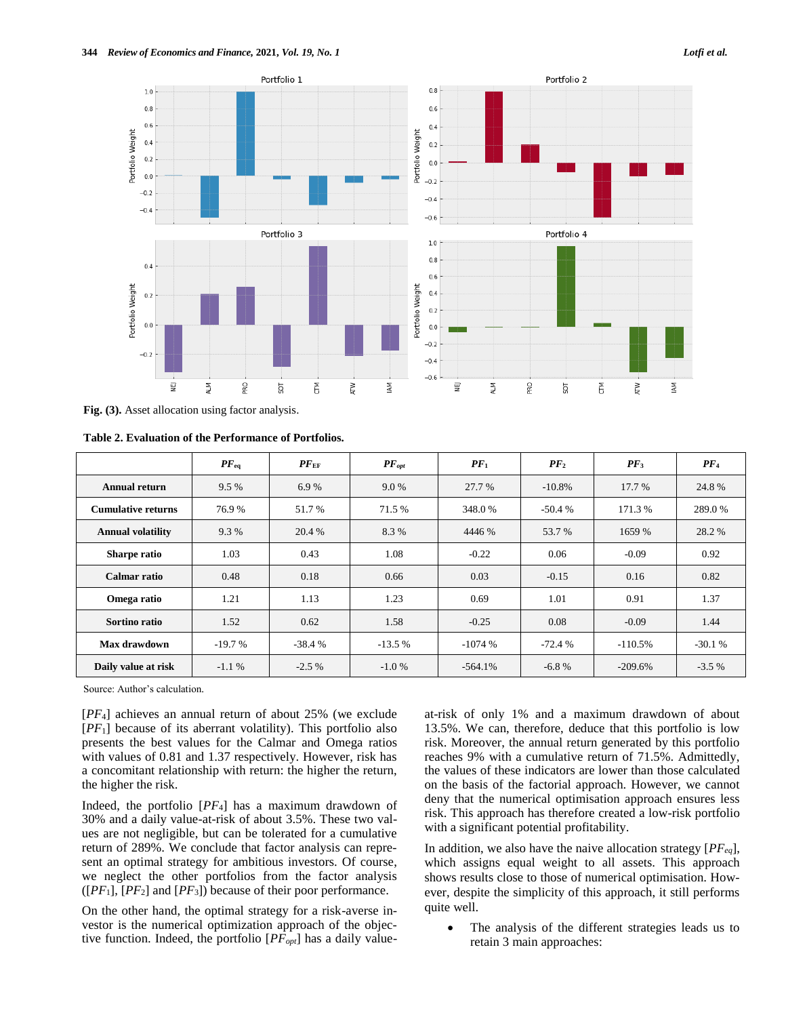

**Fig. (3).** Asset allocation using factor analysis.

**Table 2. Evaluation of the Performance of Portfolios.**

|                           | $PF_{eq}$ | $PF_{EF}$ | $PF_{opt}$ | $PF_1$    | PF <sub>2</sub> | $PF_3$    | PF <sub>4</sub> |
|---------------------------|-----------|-----------|------------|-----------|-----------------|-----------|-----------------|
| Annual return             | 9.5%      | 6.9%      | 9.0 %      | 27.7 %    | $-10.8\%$       | 17.7 %    | 24.8%           |
| <b>Cumulative returns</b> | 76.9%     | 51.7 %    | 71.5 %     | 348.0%    | $-50.4%$        | 171.3 %   | 289.0 %         |
| <b>Annual volatility</b>  | 9.3 %     | 20.4 %    | 8.3%       | 4446 %    | 53.7 %          | 1659 %    | 28.2 %          |
| Sharpe ratio              | 1.03      | 0.43      | 1.08       | $-0.22$   | 0.06            | $-0.09$   | 0.92            |
| <b>Calmar</b> ratio       | 0.48      | 0.18      | 0.66       | 0.03      | $-0.15$         | 0.16      | 0.82            |
| Omega ratio               | 1.21      | 1.13      | 1.23       | 0.69      | 1.01            | 0.91      | 1.37            |
| Sortino ratio             | 1.52      | 0.62      | 1.58       | $-0.25$   | 0.08            | $-0.09$   | 1.44            |
| Max drawdown              | $-19.7%$  | $-38.4%$  | $-13.5%$   | $-1074%$  | $-72.4%$        | $-110.5%$ | $-30.1%$        |
| Daily value at risk       | $-1.1%$   | $-2.5\%$  | $-1.0%$    | $-564.1%$ | $-6.8%$         | $-209.6%$ | $-3.5\%$        |

Source: Author's calculation.

[*PF*4] achieves an annual return of about 25% (we exclude [*PF*1] because of its aberrant volatility). This portfolio also presents the best values for the Calmar and Omega ratios with values of 0.81 and 1.37 respectively. However, risk has a concomitant relationship with return: the higher the return, the higher the risk.

Indeed, the portfolio [*PF*4] has a maximum drawdown of 30% and a daily value-at-risk of about 3.5%. These two values are not negligible, but can be tolerated for a cumulative return of 289%. We conclude that factor analysis can represent an optimal strategy for ambitious investors. Of course, we neglect the other portfolios from the factor analysis  $([PF<sub>1</sub>],[PF<sub>2</sub>]$  and  $[PF<sub>3</sub>])$  because of their poor performance.

On the other hand, the optimal strategy for a risk-averse investor is the numerical optimization approach of the objective function. Indeed, the portfolio [*PFopt*] has a daily valueat-risk of only 1% and a maximum drawdown of about 13.5%. We can, therefore, deduce that this portfolio is low risk. Moreover, the annual return generated by this portfolio reaches 9% with a cumulative return of 71.5%. Admittedly, the values of these indicators are lower than those calculated on the basis of the factorial approach. However, we cannot deny that the numerical optimisation approach ensures less risk. This approach has therefore created a low-risk portfolio with a significant potential profitability.

In addition, we also have the naive allocation strategy [*PFeq*], which assigns equal weight to all assets. This approach shows results close to those of numerical optimisation. However, despite the simplicity of this approach, it still performs quite well.

 The analysis of the different strategies leads us to retain 3 main approaches: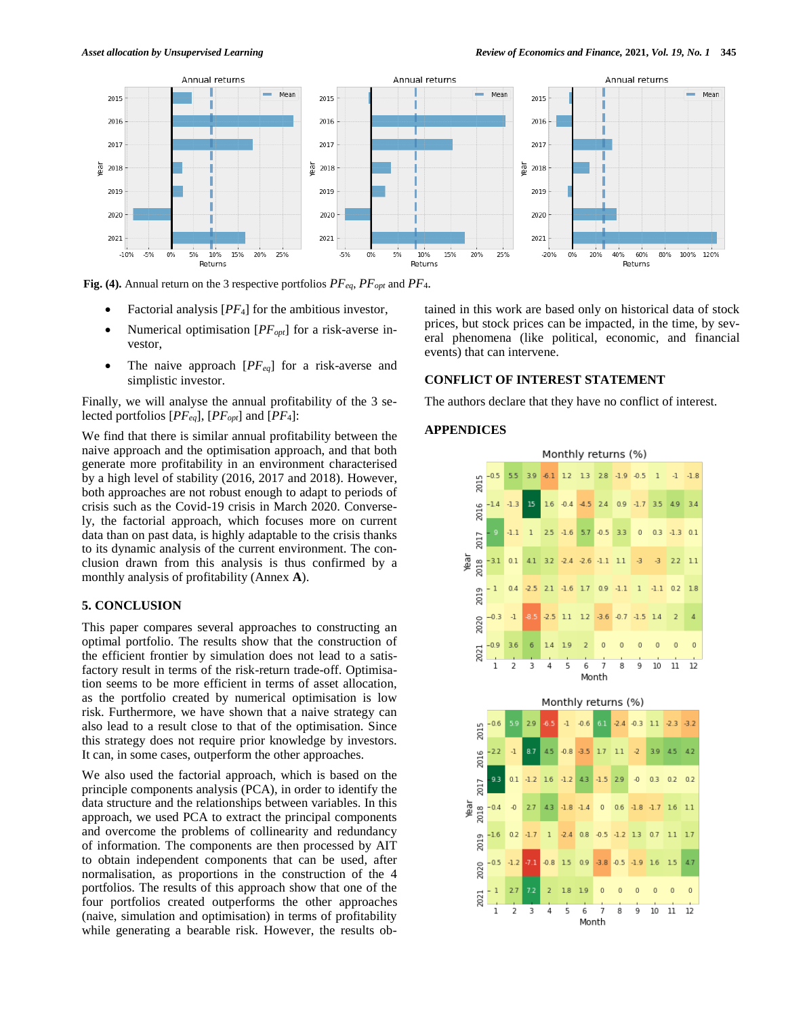

**Fig. (4).** Annual return on the 3 respective portfolios *PFeq*, *PFopt* and *PF*4.

- Factorial analysis [*PF*4] for the ambitious investor,
- Numerical optimisation [*PFopt*] for a risk-averse investor,
- The naive approach [*PFeq*] for a risk-averse and simplistic investor.

Finally, we will analyse the annual profitability of the 3 selected portfolios [*PFeq*], [*PFopt*] and [*PF*4]:

We find that there is similar annual profitability between the naive approach and the optimisation approach, and that both generate more profitability in an environment characterised by a high level of stability (2016, 2017 and 2018). However, both approaches are not robust enough to adapt to periods of crisis such as the Covid-19 crisis in March 2020. Conversely, the factorial approach, which focuses more on current data than on past data, is highly adaptable to the crisis thanks to its dynamic analysis of the current environment. The conclusion drawn from this analysis is thus confirmed by a monthly analysis of profitability (Annex **A**).

#### **5. CONCLUSION**

This paper compares several approaches to constructing an optimal portfolio. The results show that the construction of the efficient frontier by simulation does not lead to a satisfactory result in terms of the risk-return trade-off. Optimisation seems to be more efficient in terms of asset allocation, as the portfolio created by numerical optimisation is low risk. Furthermore, we have shown that a naive strategy can also lead to a result close to that of the optimisation. Since this strategy does not require prior knowledge by investors. It can, in some cases, outperform the other approaches.

We also used the factorial approach, which is based on the principle components analysis (PCA), in order to identify the data structure and the relationships between variables. In this approach, we used PCA to extract the principal components and overcome the problems of collinearity and redundancy of information. The components are then processed by AIT to obtain independent components that can be used, after normalisation, as proportions in the construction of the 4 portfolios. The results of this approach show that one of the four portfolios created outperforms the other approaches (naive, simulation and optimisation) in terms of profitability while generating a bearable risk. However, the results obtained in this work are based only on historical data of stock prices, but stock prices can be impacted, in the time, by several phenomena (like political, economic, and financial events) that can intervene.

## **CONFLICT OF INTEREST STATEMENT**

The authors declare that they have no conflict of interest.

#### **APPENDICES**